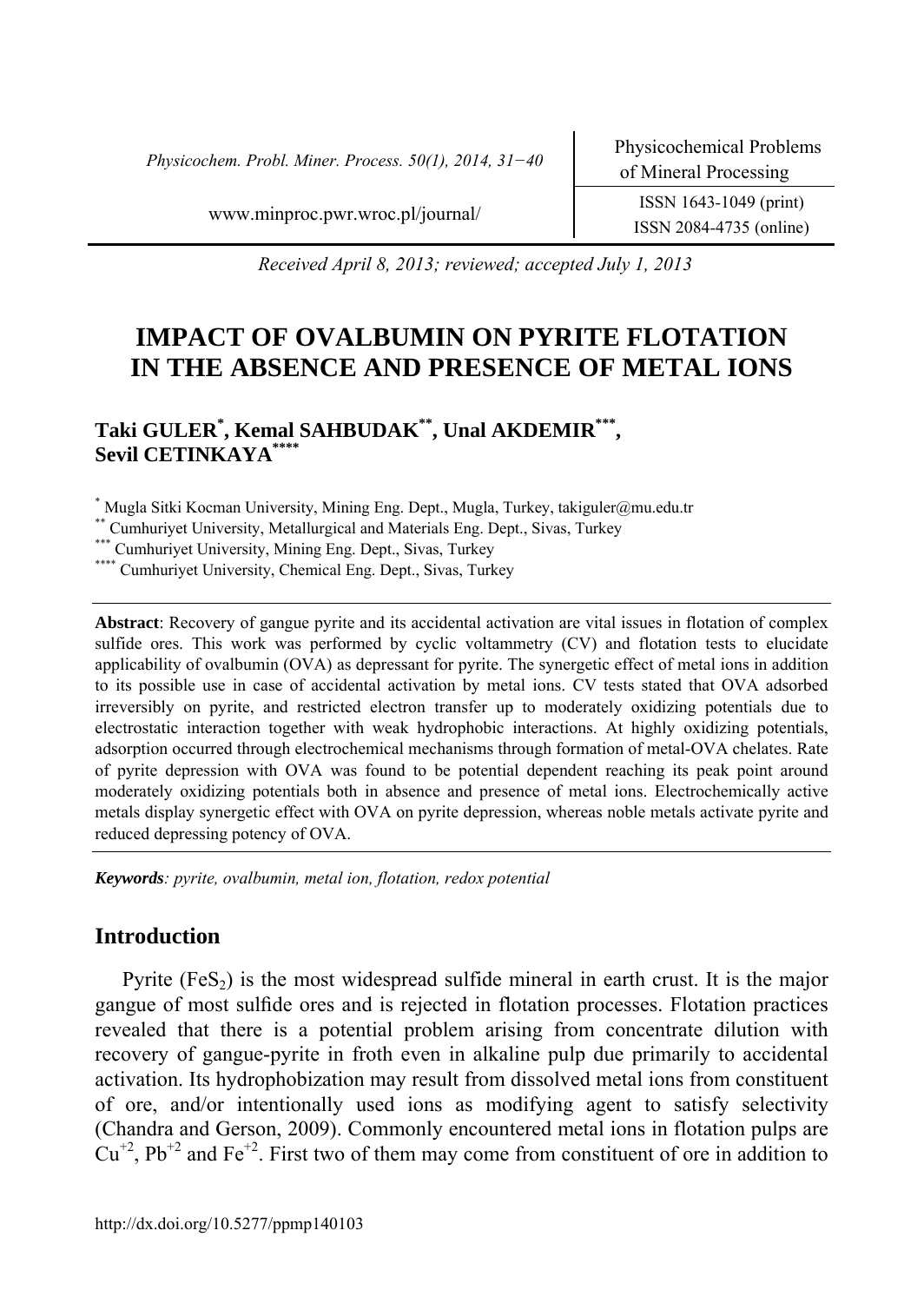*Physicochem. Probl. Miner. Process. 50(1), 2014, 31−40* Physicochemical Problems

ISSN 2084*-*4735 (online)

www.minproc.pwr.wroc.pl/journal/ ISSN 1643*-*1049 (print)

*Received April 8, 2013; reviewed; accepted July 1, 2013* 

# **IMPACT OF OVALBUMIN ON PYRITE FLOTATION IN THE ABSENCE AND PRESENCE OF METAL IONS**

## **Taki GULER\* , Kemal SAHBUDAK\*\*, Unal AKDEMIR\*\*\*, Sevil CETINKAYA\*\*\*\***

\* Mugla Sitki Kocman University, Mining Eng. Dept., Mugla, Turkey, takiguler@mu.edu.tr

\*\* Cumhuriyet University, Metallurgical and Materials Eng. Dept., Sivas, Turkey<br>\*\*\* Cumhuriyet University, Mining Eng. Dept., Sivas, Turkey<br>\*\*\*\* Cumhuriyet University, Chemical Eng. Dept., Sivas, Turkey

**Abstract**: Recovery of gangue pyrite and its accidental activation are vital issues in flotation of complex sulfide ores. This work was performed by cyclic voltammetry (CV) and flotation tests to elucidate applicability of ovalbumin (OVA) as depressant for pyrite. The synergetic effect of metal ions in addition to its possible use in case of accidental activation by metal ions. CV tests stated that OVA adsorbed irreversibly on pyrite, and restricted electron transfer up to moderately oxidizing potentials due to electrostatic interaction together with weak hydrophobic interactions. At highly oxidizing potentials, adsorption occurred through electrochemical mechanisms through formation of metal-OVA chelates. Rate of pyrite depression with OVA was found to be potential dependent reaching its peak point around moderately oxidizing potentials both in absence and presence of metal ions. Electrochemically active metals display synergetic effect with OVA on pyrite depression, whereas noble metals activate pyrite and reduced depressing potency of OVA.

*Keywords: pyrite, ovalbumin, metal ion, flotation, redox potential* 

### **Introduction**

Pyrite  $(F \in S_2)$  is the most widespread sulfide mineral in earth crust. It is the major gangue of most sulfide ores and is rejected in flotation processes. Flotation practices revealed that there is a potential problem arising from concentrate dilution with recovery of gangue-pyrite in froth even in alkaline pulp due primarily to accidental activation. Its hydrophobization may result from dissolved metal ions from constituent of ore, and/or intentionally used ions as modifying agent to satisfy selectivity (Chandra and Gerson, 2009). Commonly encountered metal ions in flotation pulps are  $Cu^{+2}$ , Pb<sup>+2</sup> and Fe<sup>+2</sup>. First two of them may come from constituent of ore in addition to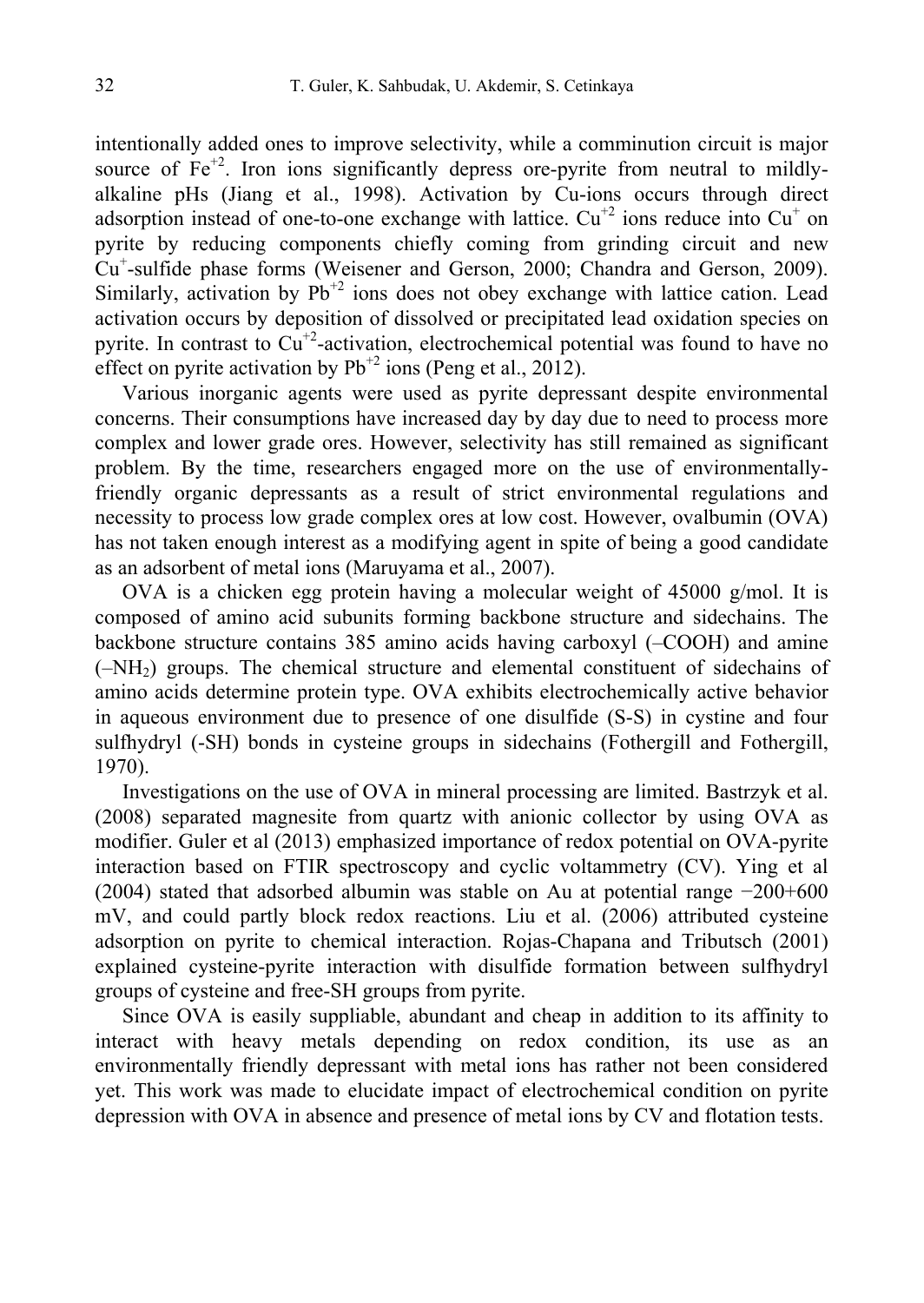intentionally added ones to improve selectivity, while a comminution circuit is major source of  $Fe<sup>+2</sup>$ . Iron ions significantly depress ore-pyrite from neutral to mildlyalkaline pHs (Jiang et al., 1998). Activation by Cu-ions occurs through direct adsorption instead of one-to-one exchange with lattice.  $Cu^{+2}$  ions reduce into  $Cu^{+}$  on pyrite by reducing components chiefly coming from grinding circuit and new Cu<sup>+</sup>-sulfide phase forms (Weisener and Gerson, 2000; Chandra and Gerson, 2009). Similarly, activation by  $Pb^{2}$  ions does not obey exchange with lattice cation. Lead activation occurs by deposition of dissolved or precipitated lead oxidation species on pyrite. In contrast to  $\widehat{\mathrm{Cu}}^{+2}$ -activation, electrochemical potential was found to have no effect on pyrite activation by  $Pb^{+2}$  ions (Peng et al., 2012).

Various inorganic agents were used as pyrite depressant despite environmental concerns. Their consumptions have increased day by day due to need to process more complex and lower grade ores. However, selectivity has still remained as significant problem. By the time, researchers engaged more on the use of environmentallyfriendly organic depressants as a result of strict environmental regulations and necessity to process low grade complex ores at low cost. However, ovalbumin (OVA) has not taken enough interest as a modifying agent in spite of being a good candidate as an adsorbent of metal ions (Maruyama et al., 2007).

OVA is a chicken egg protein having a molecular weight of 45000 g/mol. It is composed of amino acid subunits forming backbone structure and sidechains. The backbone structure contains 385 amino acids having carboxyl (–COOH) and amine  $(-NH<sub>2</sub>)$  groups. The chemical structure and elemental constituent of sidechains of amino acids determine protein type. OVA exhibits electrochemically active behavior in aqueous environment due to presence of one disulfide (S-S) in cystine and four sulfhydryl (-SH) bonds in cysteine groups in sidechains (Fothergill and Fothergill, 1970).

Investigations on the use of OVA in mineral processing are limited. Bastrzyk et al. (2008) separated magnesite from quartz with anionic collector by using OVA as modifier. Guler et al (2013) emphasized importance of redox potential on OVA-pyrite interaction based on FTIR spectroscopy and cyclic voltammetry (CV). Ying et al (2004) stated that adsorbed albumin was stable on Au at potential range −200+600 mV, and could partly block redox reactions. Liu et al. (2006) attributed cysteine adsorption on pyrite to chemical interaction. Rojas-Chapana and Tributsch (2001) explained cysteine-pyrite interaction with disulfide formation between sulfhydryl groups of cysteine and free-SH groups from pyrite.

Since OVA is easily suppliable, abundant and cheap in addition to its affinity to interact with heavy metals depending on redox condition, its use as an environmentally friendly depressant with metal ions has rather not been considered yet. This work was made to elucidate impact of electrochemical condition on pyrite depression with OVA in absence and presence of metal ions by CV and flotation tests.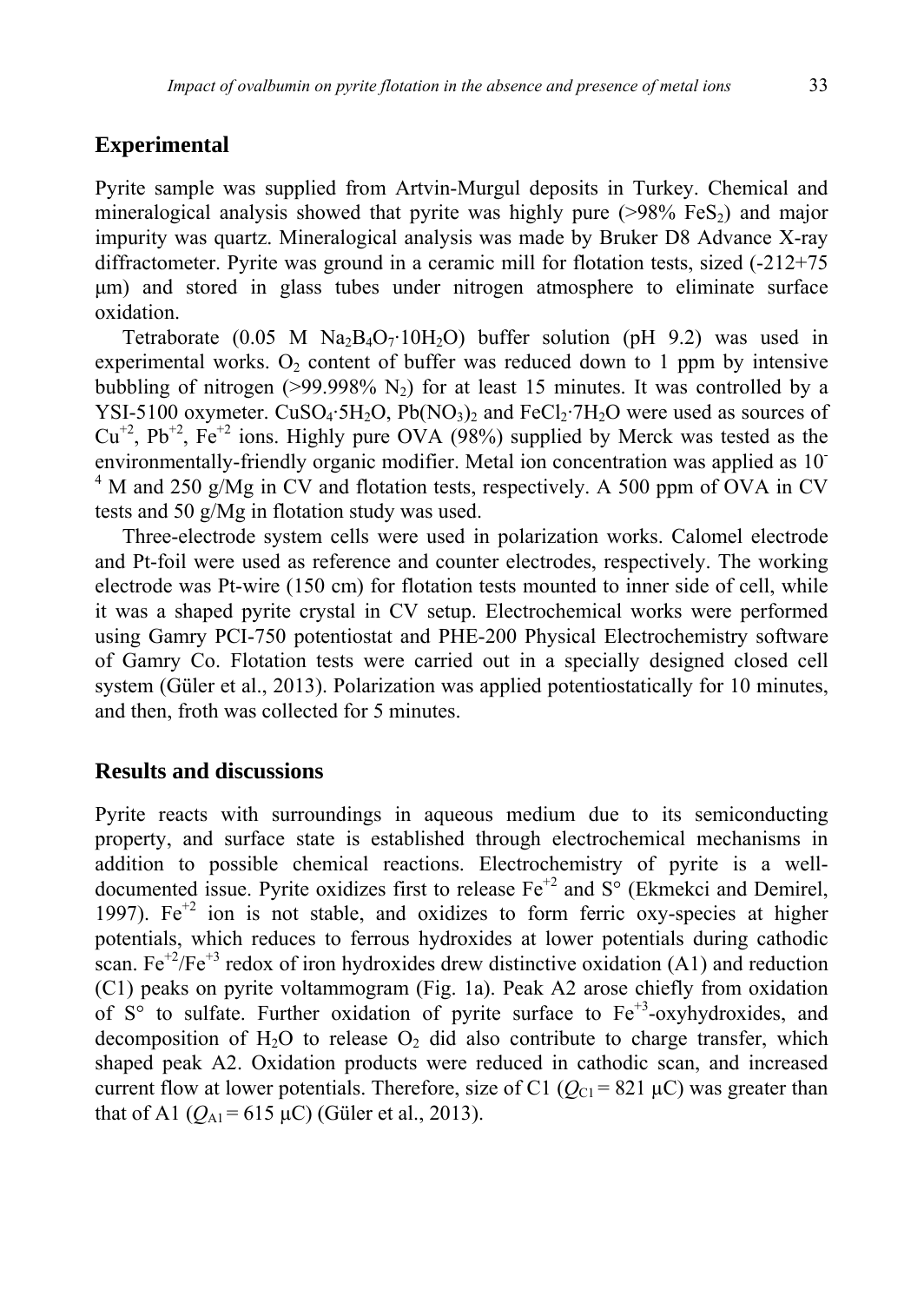#### **Experimental**

Pyrite sample was supplied from Artvin-Murgul deposits in Turkey. Chemical and mineralogical analysis showed that pyrite was highly pure  $(>98\%$  FeS<sub>2</sub>) and major impurity was quartz. Mineralogical analysis was made by Bruker D8 Advance X-ray diffractometer. Pyrite was ground in a ceramic mill for flotation tests, sized (-212+75 µm) and stored in glass tubes under nitrogen atmosphere to eliminate surface oxidation.

Tetraborate (0.05 M  $Na_2B_4O_7$  10H<sub>2</sub>O) buffer solution (pH 9.2) was used in experimental works.  $O_2$  content of buffer was reduced down to 1 ppm by intensive bubbling of nitrogen ( $>99.998\%$  N<sub>2</sub>) for at least 15 minutes. It was controlled by a YSI-5100 oxymeter. CuSO<sub>4</sub>·5H<sub>2</sub>O, Pb(NO<sub>3</sub>)<sub>2</sub> and FeCl<sub>2</sub>·7H<sub>2</sub>O were used as sources of  $Cu^{+2}$ ,  $Pb^{+2}$ ,  $Fe^{+2}$  ions. Highly pure OVA (98%) supplied by Merck was tested as the environmentally-friendly organic modifier. Metal ion concentration was applied as 10- <sup>4</sup> M and 250 g/Mg in CV and flotation tests, respectively. A 500 ppm of OVA in CV tests and 50 g/Mg in flotation study was used.

Three-electrode system cells were used in polarization works. Calomel electrode and Pt-foil were used as reference and counter electrodes, respectively. The working electrode was Pt-wire (150 cm) for flotation tests mounted to inner side of cell, while it was a shaped pyrite crystal in CV setup. Electrochemical works were performed using Gamry PCI-750 potentiostat and PHE-200 Physical Electrochemistry software of Gamry Co. Flotation tests were carried out in a specially designed closed cell system (Güler et al., 2013). Polarization was applied potentiostatically for 10 minutes, and then, froth was collected for 5 minutes.

#### **Results and discussions**

Pyrite reacts with surroundings in aqueous medium due to its semiconducting property, and surface state is established through electrochemical mechanisms in addition to possible chemical reactions. Electrochemistry of pyrite is a welldocumented issue. Pyrite oxidizes first to release  $Fe^{+2}$  and  $S^{\circ}$  (Ekmekci and Demirel, 1997).  $Fe^{+2}$  ion is not stable, and oxidizes to form ferric oxy-species at higher potentials, which reduces to ferrous hydroxides at lower potentials during cathodic scan.  $Fe^{+2}/Fe^{+3}$  redox of iron hydroxides drew distinctive oxidation (A1) and reduction (C1) peaks on pyrite voltammogram (Fig. 1a). Peak A2 arose chiefly from oxidation of  $S^{\circ}$  to sulfate. Further oxidation of pyrite surface to  $Fe^{+3}$ -oxyhydroxides, and decomposition of  $H_2O$  to release  $O_2$  did also contribute to charge transfer, which shaped peak A2. Oxidation products were reduced in cathodic scan, and increased current flow at lower potentials. Therefore, size of C1 ( $Q_{C1}$  = 821  $\mu$ C) was greater than that of A1  $(Q_{A1} = 615 \,\mu\text{C})$  (Güler et al., 2013).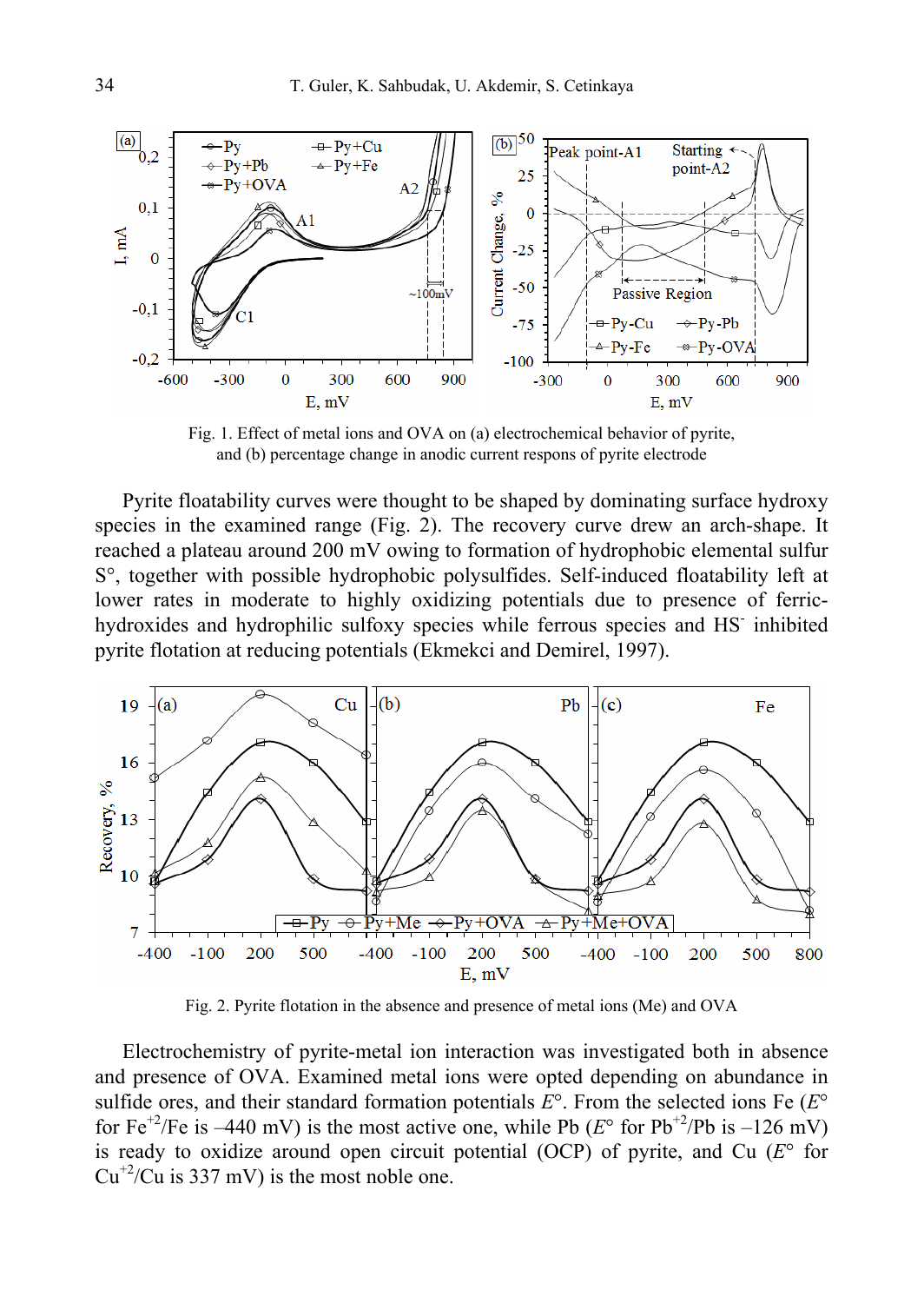

Fig. 1. Effect of metal ions and OVA on (a) electrochemical behavior of pyrite, and (b) percentage change in anodic current respons of pyrite electrode

Pyrite floatability curves were thought to be shaped by dominating surface hydroxy species in the examined range (Fig. 2). The recovery curve drew an arch-shape. It reached a plateau around 200 mV owing to formation of hydrophobic elemental sulfur S°, together with possible hydrophobic polysulfides. Self-induced floatability left at lower rates in moderate to highly oxidizing potentials due to presence of ferrichydroxides and hydrophilic sulfoxy species while ferrous species and HS- inhibited pyrite flotation at reducing potentials (Ekmekci and Demirel, 1997).



Fig. 2. Pyrite flotation in the absence and presence of metal ions (Me) and OVA

Electrochemistry of pyrite-metal ion interaction was investigated both in absence and presence of OVA. Examined metal ions were opted depending on abundance in sulfide ores, and their standard formation potentials  $E^{\circ}$ . From the selected ions Fe ( $E^{\circ}$ ) for Fe<sup>+2</sup>/Fe is –440 mV) is the most active one, while Pb ( $E^{\circ}$  for Pb<sup>+2</sup>/Pb is –126 mV) is ready to oxidize around open circuit potential (OCP) of pyrite, and Cu (*E*° for  $Cu^{+2}/Cu$  is 337 mV) is the most noble one.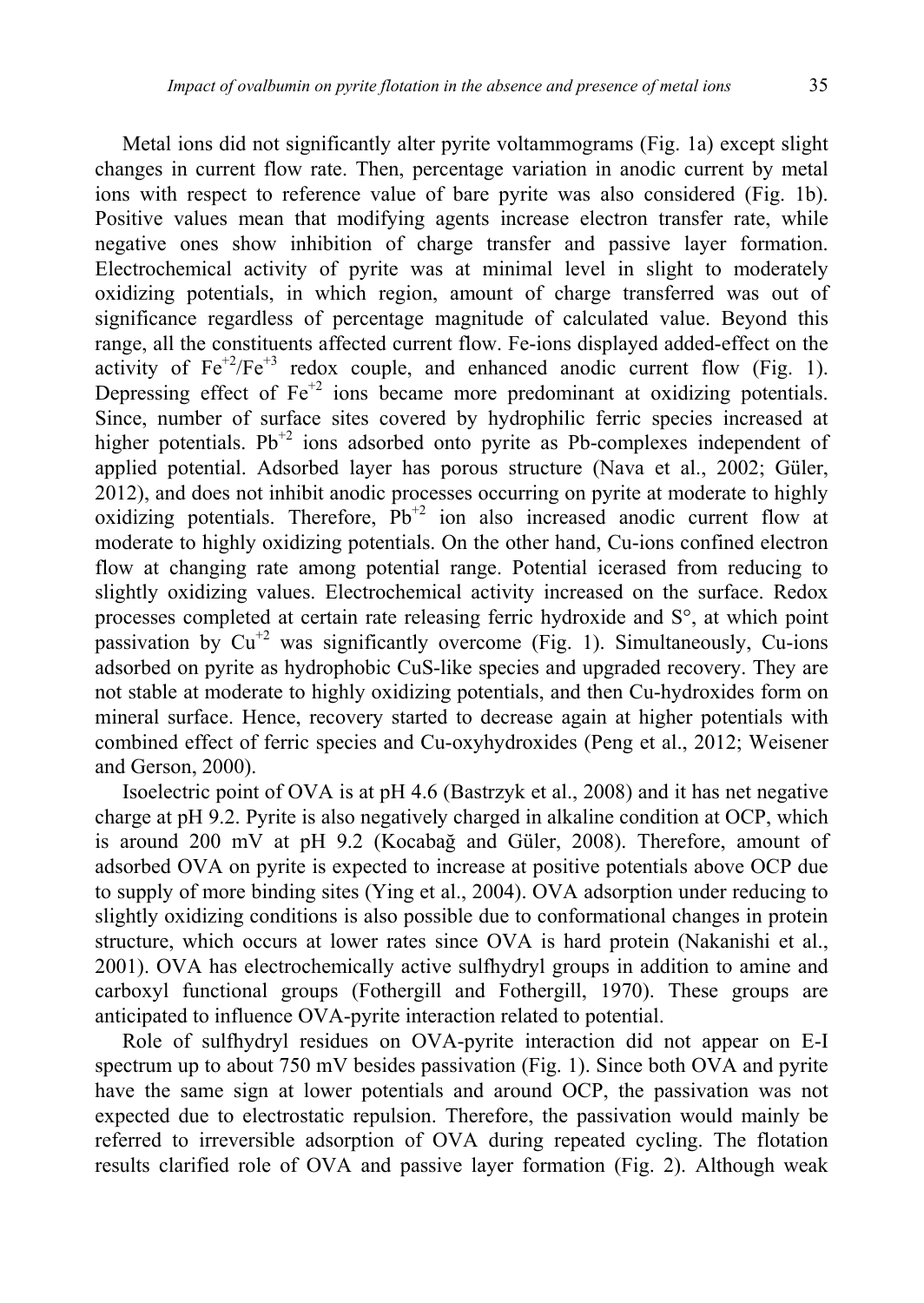Metal ions did not significantly alter pyrite voltammograms (Fig. 1a) except slight changes in current flow rate. Then, percentage variation in anodic current by metal ions with respect to reference value of bare pyrite was also considered (Fig. 1b). Positive values mean that modifying agents increase electron transfer rate, while negative ones show inhibition of charge transfer and passive layer formation. Electrochemical activity of pyrite was at minimal level in slight to moderately oxidizing potentials, in which region, amount of charge transferred was out of significance regardless of percentage magnitude of calculated value. Beyond this range, all the constituents affected current flow. Fe-ions displayed added-effect on the activity of  $Fe^{+2}/Fe^{+3}$  redox couple, and enhanced anodic current flow (Fig. 1). Depressing effect of  $Fe^{+2}$  ions became more predominant at oxidizing potentials. Since, number of surface sites covered by hydrophilic ferric species increased at higher potentials. Pb<sup>+2</sup> ions adsorbed onto pyrite as Pb-complexes independent of applied potential. Adsorbed layer has porous structure (Nava et al., 2002; Güler, 2012), and does not inhibit anodic processes occurring on pyrite at moderate to highly oxidizing potentials. Therefore,  $Pb^{+2}$  ion also increased anodic current flow at moderate to highly oxidizing potentials. On the other hand, Cu-ions confined electron flow at changing rate among potential range. Potential icerased from reducing to slightly oxidizing values. Electrochemical activity increased on the surface. Redox processes completed at certain rate releasing ferric hydroxide and S°, at which point passivation by  $Cu^{+2}$  was significantly overcome (Fig. 1). Simultaneously, Cu-ions adsorbed on pyrite as hydrophobic CuS-like species and upgraded recovery. They are not stable at moderate to highly oxidizing potentials, and then Cu-hydroxides form on mineral surface. Hence, recovery started to decrease again at higher potentials with combined effect of ferric species and Cu-oxyhydroxides (Peng et al., 2012; Weisener and Gerson, 2000).

Isoelectric point of OVA is at pH 4.6 (Bastrzyk et al., 2008) and it has net negative charge at pH 9.2. Pyrite is also negatively charged in alkaline condition at OCP, which is around 200 mV at pH 9.2 (Kocabağ and Güler, 2008). Therefore, amount of adsorbed OVA on pyrite is expected to increase at positive potentials above OCP due to supply of more binding sites (Ying et al., 2004). OVA adsorption under reducing to slightly oxidizing conditions is also possible due to conformational changes in protein structure, which occurs at lower rates since OVA is hard protein (Nakanishi et al., 2001). OVA has electrochemically active sulfhydryl groups in addition to amine and carboxyl functional groups (Fothergill and Fothergill, 1970). These groups are anticipated to influence OVA-pyrite interaction related to potential.

Role of sulfhydryl residues on OVA-pyrite interaction did not appear on E-I spectrum up to about 750 mV besides passivation (Fig. 1). Since both OVA and pyrite have the same sign at lower potentials and around OCP, the passivation was not expected due to electrostatic repulsion. Therefore, the passivation would mainly be referred to irreversible adsorption of OVA during repeated cycling. The flotation results clarified role of OVA and passive layer formation (Fig. 2). Although weak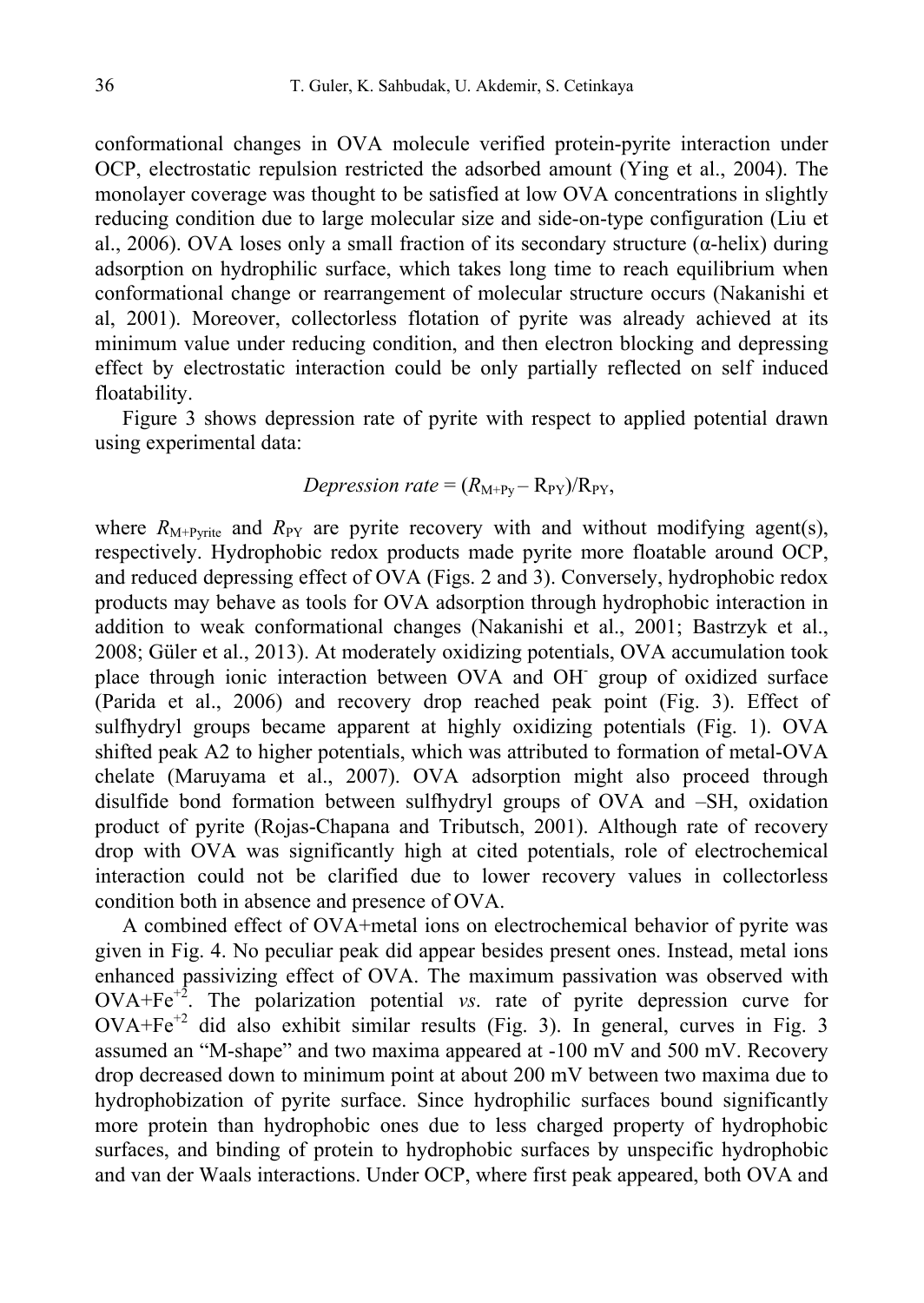conformational changes in OVA molecule verified protein-pyrite interaction under OCP, electrostatic repulsion restricted the adsorbed amount (Ying et al., 2004). The monolayer coverage was thought to be satisfied at low OVA concentrations in slightly reducing condition due to large molecular size and side-on-type configuration (Liu et al., 2006). OVA loses only a small fraction of its secondary structure ( $\alpha$ -helix) during adsorption on hydrophilic surface, which takes long time to reach equilibrium when conformational change or rearrangement of molecular structure occurs (Nakanishi et al, 2001). Moreover, collectorless flotation of pyrite was already achieved at its minimum value under reducing condition, and then electron blocking and depressing effect by electrostatic interaction could be only partially reflected on self induced floatability.

Figure 3 shows depression rate of pyrite with respect to applied potential drawn using experimental data:

#### *Depression rate* =  $(R_{M+Py} - R_{PY})/R_{PY}$ ,

where  $R_{M+P\text{write}}$  and  $R_{PY}$  are pyrite recovery with and without modifying agent(s), respectively. Hydrophobic redox products made pyrite more floatable around OCP, and reduced depressing effect of OVA (Figs. 2 and 3). Conversely, hydrophobic redox products may behave as tools for OVA adsorption through hydrophobic interaction in addition to weak conformational changes (Nakanishi et al., 2001; Bastrzyk et al., 2008; Güler et al., 2013). At moderately oxidizing potentials, OVA accumulation took place through ionic interaction between OVA and OH<sup>-</sup> group of oxidized surface (Parida et al., 2006) and recovery drop reached peak point (Fig. 3). Effect of sulfhydryl groups became apparent at highly oxidizing potentials (Fig. 1). OVA shifted peak A2 to higher potentials, which was attributed to formation of metal-OVA chelate (Maruyama et al., 2007). OVA adsorption might also proceed through disulfide bond formation between sulfhydryl groups of OVA and –SH, oxidation product of pyrite (Rojas-Chapana and Tributsch, 2001). Although rate of recovery drop with OVA was significantly high at cited potentials, role of electrochemical interaction could not be clarified due to lower recovery values in collectorless condition both in absence and presence of OVA.

A combined effect of OVA+metal ions on electrochemical behavior of pyrite was given in Fig. 4. No peculiar peak did appear besides present ones. Instead, metal ions enhanced passivizing effect of OVA. The maximum passivation was observed with OVA+Fe+2. The polarization potential *vs*. rate of pyrite depression curve for  $OVA + Fe^{+2}$  did also exhibit similar results (Fig. 3). In general, curves in Fig. 3 assumed an "M-shape" and two maxima appeared at -100 mV and 500 mV. Recovery drop decreased down to minimum point at about 200 mV between two maxima due to hydrophobization of pyrite surface. Since hydrophilic surfaces bound significantly more protein than hydrophobic ones due to less charged property of hydrophobic surfaces, and binding of protein to hydrophobic surfaces by unspecific hydrophobic and van der Waals interactions. Under OCP, where first peak appeared, both OVA and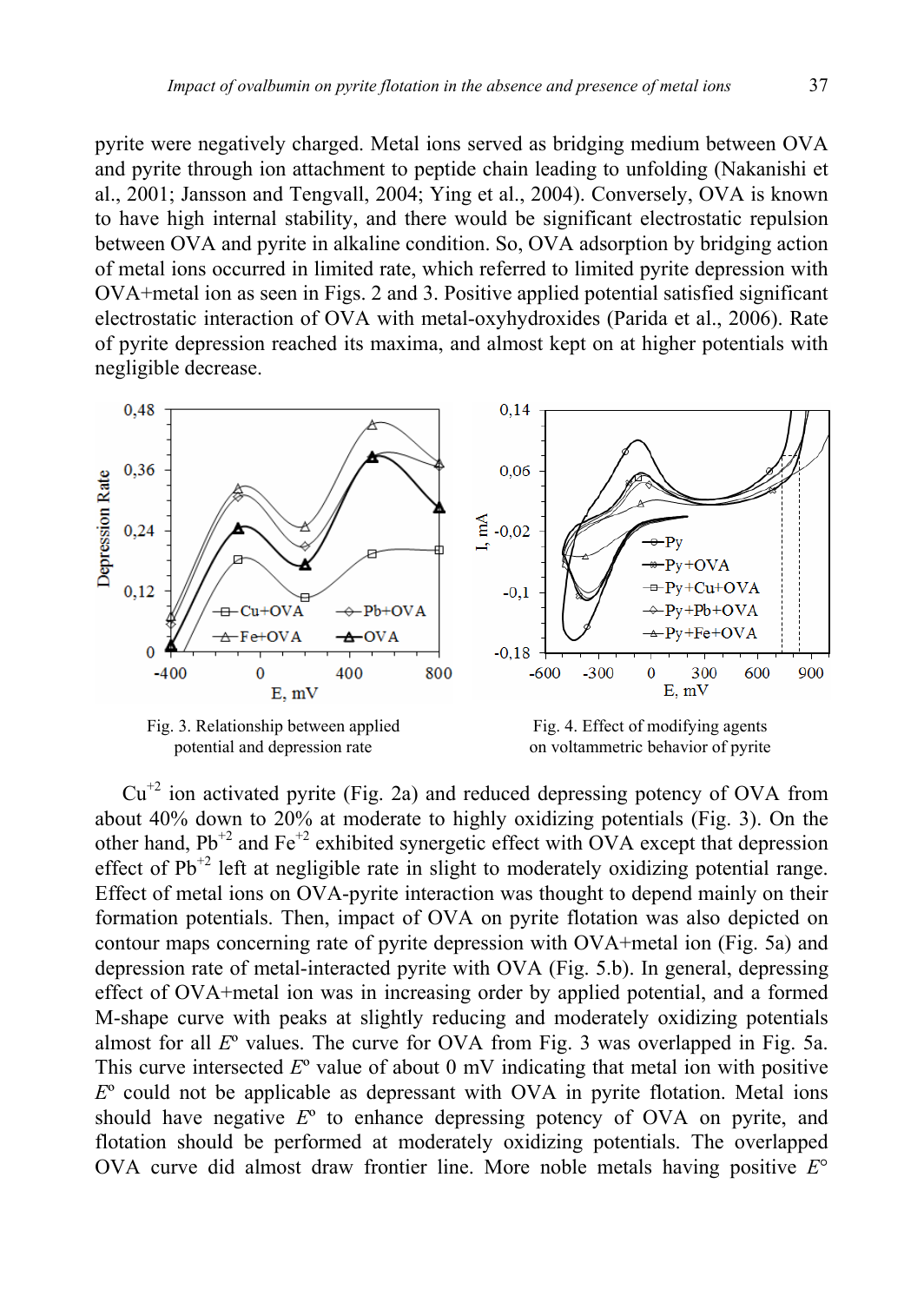pyrite were negatively charged. Metal ions served as bridging medium between OVA and pyrite through ion attachment to peptide chain leading to unfolding (Nakanishi et al., 2001; Jansson and Tengvall, 2004; Ying et al., 2004). Conversely, OVA is known to have high internal stability, and there would be significant electrostatic repulsion between OVA and pyrite in alkaline condition. So, OVA adsorption by bridging action of metal ions occurred in limited rate, which referred to limited pyrite depression with OVA+metal ion as seen in Figs. 2 and 3. Positive applied potential satisfied significant electrostatic interaction of OVA with metal-oxyhydroxides (Parida et al., 2006). Rate of pyrite depression reached its maxima, and almost kept on at higher potentials with negligible decrease.



 $Cu<sup>+2</sup>$  ion activated pyrite (Fig. 2a) and reduced depressing potency of OVA from about 40% down to 20% at moderate to highly oxidizing potentials (Fig. 3). On the other hand,  $Pb^{+2}$  and  $Fe^{+2}$  exhibited synergetic effect with OVA except that depression effect of  $Pb^{+2}$  left at negligible rate in slight to moderately oxidizing potential range. Effect of metal ions on OVA-pyrite interaction was thought to depend mainly on their formation potentials. Then, impact of OVA on pyrite flotation was also depicted on contour maps concerning rate of pyrite depression with OVA+metal ion (Fig. 5a) and depression rate of metal-interacted pyrite with OVA (Fig. 5.b). In general, depressing effect of OVA+metal ion was in increasing order by applied potential, and a formed M-shape curve with peaks at slightly reducing and moderately oxidizing potentials almost for all *E*º values. The curve for OVA from Fig. 3 was overlapped in Fig. 5a. This curve intersected *E*º value of about 0 mV indicating that metal ion with positive *E*º could not be applicable as depressant with OVA in pyrite flotation. Metal ions should have negative *E*º to enhance depressing potency of OVA on pyrite, and flotation should be performed at moderately oxidizing potentials. The overlapped OVA curve did almost draw frontier line. More noble metals having positive *E*°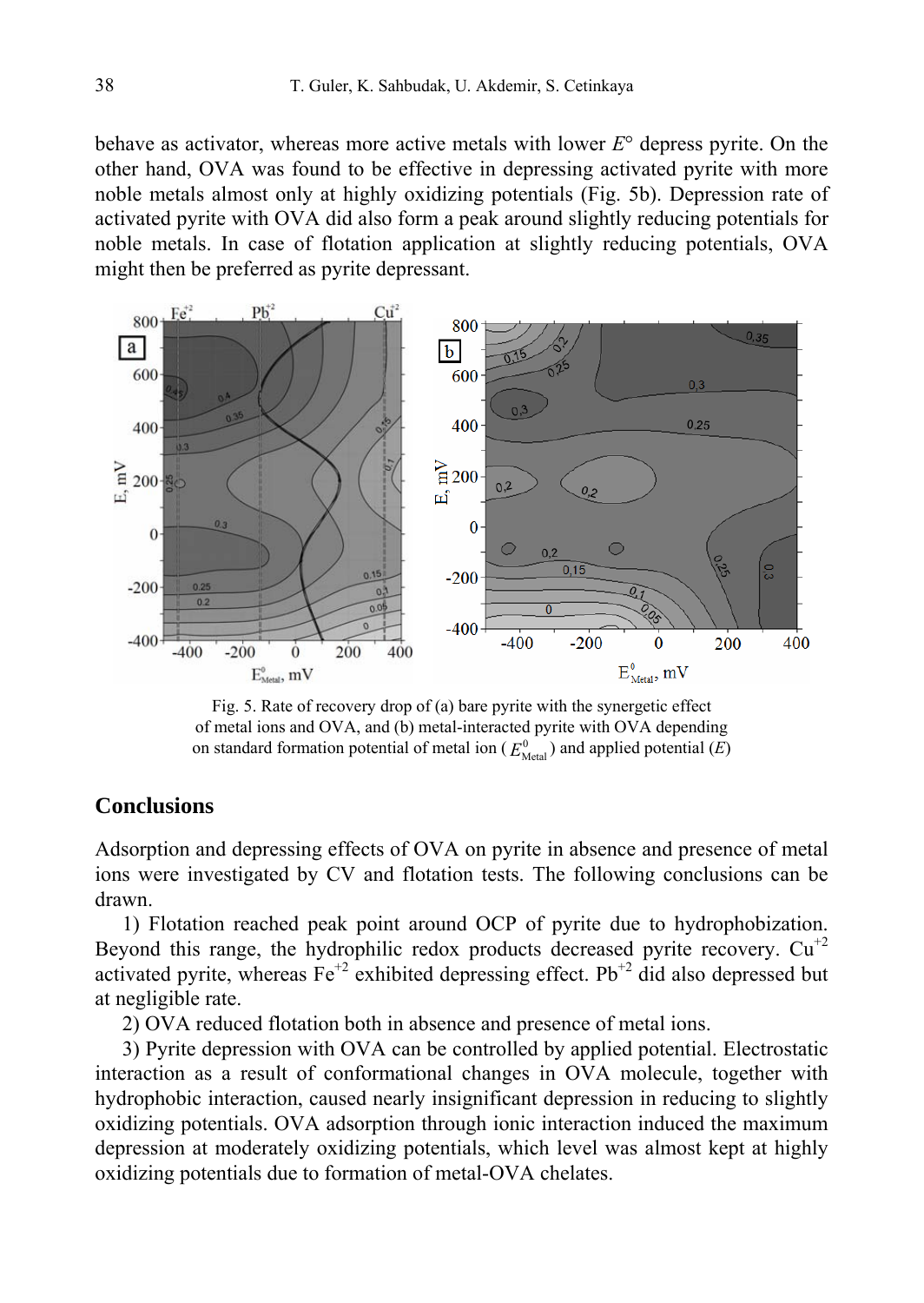behave as activator, whereas more active metals with lower *E*° depress pyrite. On the other hand, OVA was found to be effective in depressing activated pyrite with more noble metals almost only at highly oxidizing potentials (Fig. 5b). Depression rate of activated pyrite with OVA did also form a peak around slightly reducing potentials for noble metals. In case of flotation application at slightly reducing potentials, OVA might then be preferred as pyrite depressant.



Fig. 5. Rate of recovery drop of (a) bare pyrite with the synergetic effect of metal ions and OVA, and (b) metal-interacted pyrite with OVA depending on standard formation potential of metal ion  $(E_{\text{Metal}}^0)$  and applied potential  $(E)$ 

#### **Conclusions**

Adsorption and depressing effects of OVA on pyrite in absence and presence of metal ions were investigated by CV and flotation tests. The following conclusions can be drawn.

1) Flotation reached peak point around OCP of pyrite due to hydrophobization. Beyond this range, the hydrophilic redox products decreased pyrite recovery.  $Cu^{+2}$ activated pyrite, whereas  $Fe^{+2}$  exhibited depressing effect. Pb<sup>+2</sup> did also depressed but at negligible rate.

2) OVA reduced flotation both in absence and presence of metal ions.

3) Pyrite depression with OVA can be controlled by applied potential. Electrostatic interaction as a result of conformational changes in OVA molecule, together with hydrophobic interaction, caused nearly insignificant depression in reducing to slightly oxidizing potentials. OVA adsorption through ionic interaction induced the maximum depression at moderately oxidizing potentials, which level was almost kept at highly oxidizing potentials due to formation of metal-OVA chelates.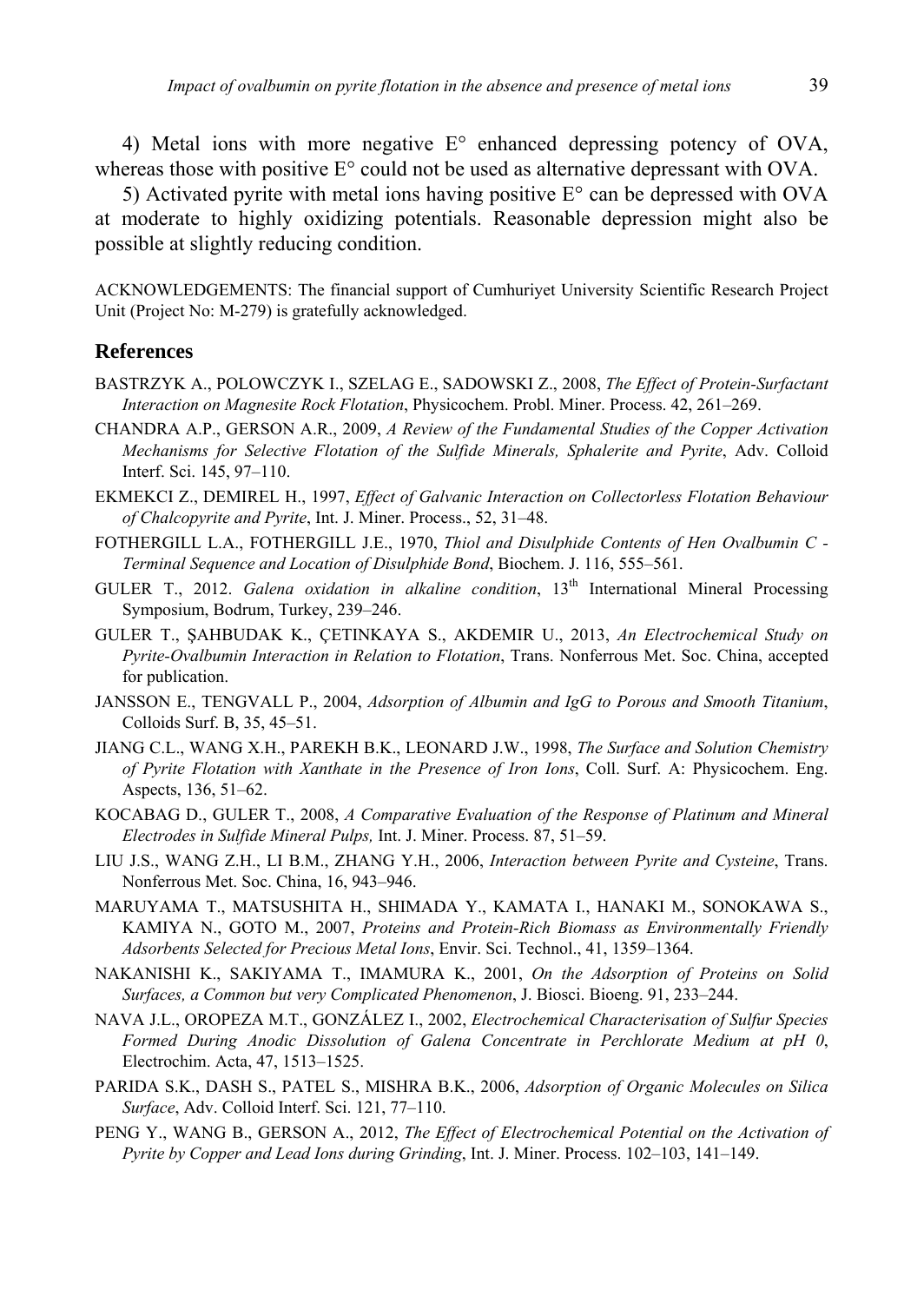4) Metal ions with more negative  $E^{\circ}$  enhanced depressing potency of OVA, whereas those with positive  $E^{\circ}$  could not be used as alternative depressant with OVA.

5) Activated pyrite with metal ions having positive  $E^{\circ}$  can be depressed with OVA at moderate to highly oxidizing potentials. Reasonable depression might also be possible at slightly reducing condition.

ACKNOWLEDGEMENTS: The financial support of Cumhuriyet University Scientific Research Project Unit (Project No: M-279) is gratefully acknowledged.

#### **References**

- BASTRZYK A., POLOWCZYK I., SZELAG E., SADOWSKI Z., 2008, *The Effect of Protein-Surfactant Interaction on Magnesite Rock Flotation*, Physicochem. Probl. Miner. Process. 42, 261–269.
- CHANDRA A.P., GERSON A.R., 2009, *A Review of the Fundamental Studies of the Copper Activation Mechanisms for Selective Flotation of the Sulfide Minerals, Sphalerite and Pyrite*, Adv. Colloid Interf. Sci. 145, 97–110.
- EKMEKCI Z., DEMIREL H., 1997, *Effect of Galvanic Interaction on Collectorless Flotation Behaviour of Chalcopyrite and Pyrite*, Int. J. Miner. Process., 52, 31–48.
- FOTHERGILL L.A., FOTHERGILL J.E., 1970, *Thiol and Disulphide Contents of Hen Ovalbumin C Terminal Sequence and Location of Disulphide Bond*, Biochem. J. 116, 555–561.
- GULER T., 2012. *Galena oxidation in alkaline condition*, 13th International Mineral Processing Symposium, Bodrum, Turkey, 239–246.
- GULER T., ŞAHBUDAK K., ÇETINKAYA S., AKDEMIR U., 2013, *An Electrochemical Study on Pyrite-Ovalbumin Interaction in Relation to Flotation*, Trans. Nonferrous Met. Soc. China, accepted for publication.
- JANSSON E., TENGVALL P., 2004, *Adsorption of Albumin and IgG to Porous and Smooth Titanium*, Colloids Surf. B, 35, 45–51.
- JIANG C.L., WANG X.H., PAREKH B.K., LEONARD J.W., 1998, *The Surface and Solution Chemistry of Pyrite Flotation with Xanthate in the Presence of Iron Ions*, Coll. Surf. A: Physicochem. Eng. Aspects, 136, 51–62.
- KOCABAG D., GULER T., 2008, *A Comparative Evaluation of the Response of Platinum and Mineral Electrodes in Sulfide Mineral Pulps,* Int. J. Miner. Process. 87, 51–59.
- LIU J.S., WANG Z.H., LI B.M., ZHANG Y.H., 2006, *Interaction between Pyrite and Cysteine*, Trans. Nonferrous Met. Soc. China, 16, 943–946.
- MARUYAMA T., MATSUSHITA H., SHIMADA Y., KAMATA I., HANAKI M., SONOKAWA S., KAMIYA N., GOTO M., 2007, *Proteins and Protein-Rich Biomass as Environmentally Friendly Adsorbents Selected for Precious Metal Ions*, Envir. Sci. Technol., 41, 1359–1364.
- NAKANISHI K., SAKIYAMA T., IMAMURA K., 2001, *On the Adsorption of Proteins on Solid Surfaces, a Common but very Complicated Phenomenon*, J. Biosci. Bioeng. 91, 233–244.
- NAVA J.L., OROPEZA M.T., GONZÁLEZ I., 2002, *Electrochemical Characterisation of Sulfur Species Formed During Anodic Dissolution of Galena Concentrate in Perchlorate Medium at pH 0*, Electrochim. Acta, 47, 1513–1525.
- PARIDA S.K., DASH S., PATEL S., MISHRA B.K., 2006, *Adsorption of Organic Molecules on Silica Surface*, Adv. Colloid Interf. Sci. 121, 77–110.
- PENG Y., WANG B., GERSON A., 2012, *The Effect of Electrochemical Potential on the Activation of Pyrite by Copper and Lead Ions during Grinding*, Int. J. Miner. Process. 102–103, 141–149.